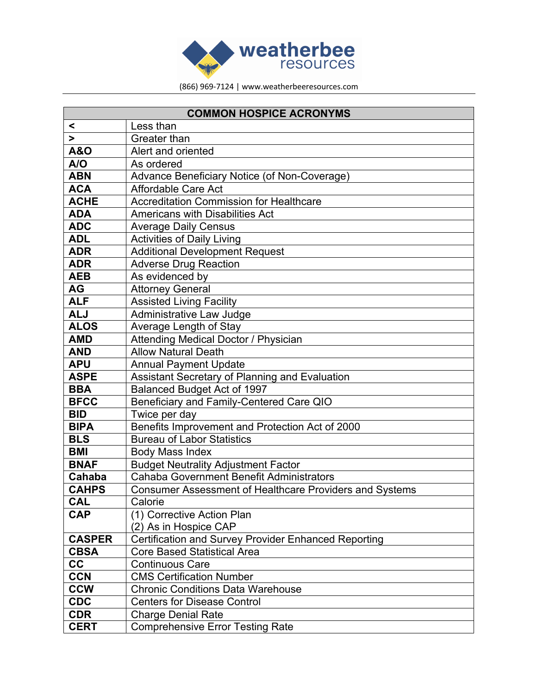

| <b>COMMON HOSPICE ACRONYMS</b> |                                                                |
|--------------------------------|----------------------------------------------------------------|
| $\prec$                        | Less than                                                      |
| >                              | Greater than                                                   |
| <b>A&amp;O</b>                 | Alert and oriented                                             |
| A/O                            | As ordered                                                     |
| <b>ABN</b>                     | Advance Beneficiary Notice (of Non-Coverage)                   |
| <b>ACA</b>                     | Affordable Care Act                                            |
| <b>ACHE</b>                    | <b>Accreditation Commission for Healthcare</b>                 |
| <b>ADA</b>                     | <b>Americans with Disabilities Act</b>                         |
| <b>ADC</b>                     | <b>Average Daily Census</b>                                    |
| <b>ADL</b>                     | <b>Activities of Daily Living</b>                              |
| <b>ADR</b>                     | <b>Additional Development Request</b>                          |
| <b>ADR</b>                     | <b>Adverse Drug Reaction</b>                                   |
| <b>AEB</b>                     | As evidenced by                                                |
| <b>AG</b>                      | <b>Attorney General</b>                                        |
| <b>ALF</b>                     | <b>Assisted Living Facility</b>                                |
| <b>ALJ</b>                     | Administrative Law Judge                                       |
| <b>ALOS</b>                    | Average Length of Stay                                         |
| <b>AMD</b>                     | Attending Medical Doctor / Physician                           |
| <b>AND</b>                     | <b>Allow Natural Death</b>                                     |
| <b>APU</b>                     | <b>Annual Payment Update</b>                                   |
| <b>ASPE</b>                    | <b>Assistant Secretary of Planning and Evaluation</b>          |
| <b>BBA</b>                     | Balanced Budget Act of 1997                                    |
| <b>BFCC</b>                    | Beneficiary and Family-Centered Care QIO                       |
| <b>BID</b>                     | Twice per day                                                  |
| <b>BIPA</b>                    | Benefits Improvement and Protection Act of 2000                |
| <b>BLS</b>                     | <b>Bureau of Labor Statistics</b>                              |
| <b>BMI</b>                     | <b>Body Mass Index</b>                                         |
| <b>BNAF</b>                    | <b>Budget Neutrality Adjustment Factor</b>                     |
| Cahaba                         | <b>Cahaba Government Benefit Administrators</b>                |
| <b>CAHPS</b>                   | <b>Consumer Assessment of Healthcare Providers and Systems</b> |
| <b>CAL</b>                     | Calorie                                                        |
| <b>CAP</b>                     | (1) Corrective Action Plan                                     |
|                                | (2) As in Hospice CAP                                          |
| <b>CASPER</b>                  | Certification and Survey Provider Enhanced Reporting           |
| <b>CBSA</b>                    | <b>Core Based Statistical Area</b>                             |
| cc                             | <b>Continuous Care</b>                                         |
| <b>CCN</b>                     | <b>CMS Certification Number</b>                                |
| <b>CCW</b>                     | <b>Chronic Conditions Data Warehouse</b>                       |
| <b>CDC</b>                     | <b>Centers for Disease Control</b>                             |
| <b>CDR</b>                     | <b>Charge Denial Rate</b>                                      |
| <b>CERT</b>                    | <b>Comprehensive Error Testing Rate</b>                        |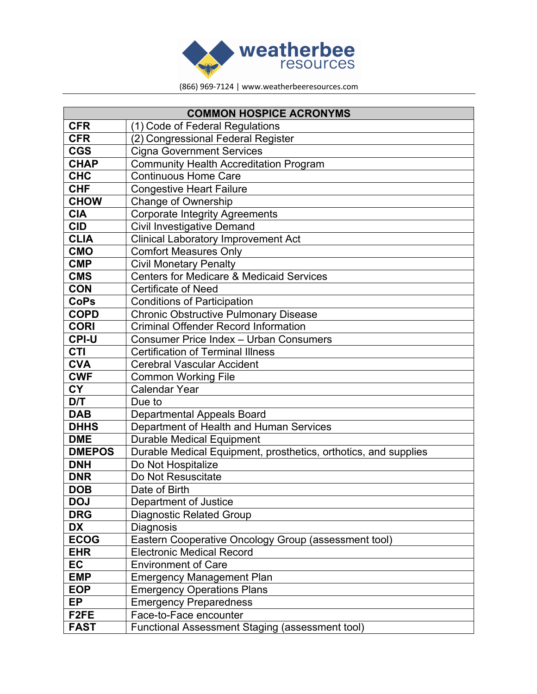

| <b>COMMON HOSPICE ACRONYMS</b> |                                                                 |
|--------------------------------|-----------------------------------------------------------------|
| <b>CFR</b>                     | (1) Code of Federal Regulations                                 |
| <b>CFR</b>                     | (2) Congressional Federal Register                              |
| <b>CGS</b>                     | <b>Cigna Government Services</b>                                |
| <b>CHAP</b>                    | <b>Community Health Accreditation Program</b>                   |
| <b>CHC</b>                     | <b>Continuous Home Care</b>                                     |
| <b>CHF</b>                     | <b>Congestive Heart Failure</b>                                 |
| <b>CHOW</b>                    | Change of Ownership                                             |
| <b>CIA</b>                     | <b>Corporate Integrity Agreements</b>                           |
| <b>CID</b>                     | <b>Civil Investigative Demand</b>                               |
| <b>CLIA</b>                    | <b>Clinical Laboratory Improvement Act</b>                      |
| <b>CMO</b>                     | <b>Comfort Measures Only</b>                                    |
| <b>CMP</b>                     | <b>Civil Monetary Penalty</b>                                   |
| <b>CMS</b>                     | <b>Centers for Medicare &amp; Medicaid Services</b>             |
| <b>CON</b>                     | <b>Certificate of Need</b>                                      |
| <b>CoPs</b>                    | <b>Conditions of Participation</b>                              |
| <b>COPD</b>                    | <b>Chronic Obstructive Pulmonary Disease</b>                    |
| <b>CORI</b>                    | <b>Criminal Offender Record Information</b>                     |
| <b>CPI-U</b>                   | Consumer Price Index - Urban Consumers                          |
| <b>CTI</b>                     | <b>Certification of Terminal Illness</b>                        |
| <b>CVA</b>                     | <b>Cerebral Vascular Accident</b>                               |
| <b>CWF</b>                     | <b>Common Working File</b>                                      |
| <b>CY</b>                      | <b>Calendar Year</b>                                            |
| D/T                            | Due to                                                          |
| <b>DAB</b>                     | Departmental Appeals Board                                      |
| <b>DHHS</b>                    | Department of Health and Human Services                         |
| <b>DME</b>                     | <b>Durable Medical Equipment</b>                                |
| <b>DMEPOS</b>                  | Durable Medical Equipment, prosthetics, orthotics, and supplies |
| <b>DNH</b>                     | Do Not Hospitalize                                              |
| <b>DNR</b>                     | Do Not Resuscitate                                              |
| <b>DOB</b>                     | Date of Birth                                                   |
| <b>DOJ</b>                     | Department of Justice                                           |
| <b>DRG</b>                     | <b>Diagnostic Related Group</b>                                 |
| <b>DX</b>                      | Diagnosis                                                       |
| <b>ECOG</b>                    | Eastern Cooperative Oncology Group (assessment tool)            |
| <b>EHR</b>                     | <b>Electronic Medical Record</b>                                |
| EC                             | <b>Environment of Care</b>                                      |
| <b>EMP</b>                     | <b>Emergency Management Plan</b>                                |
| <b>EOP</b>                     | <b>Emergency Operations Plans</b>                               |
| <b>EP</b>                      | <b>Emergency Preparedness</b>                                   |
| F <sub>2FE</sub>               | Face-to-Face encounter                                          |
| <b>FAST</b>                    | Functional Assessment Staging (assessment tool)                 |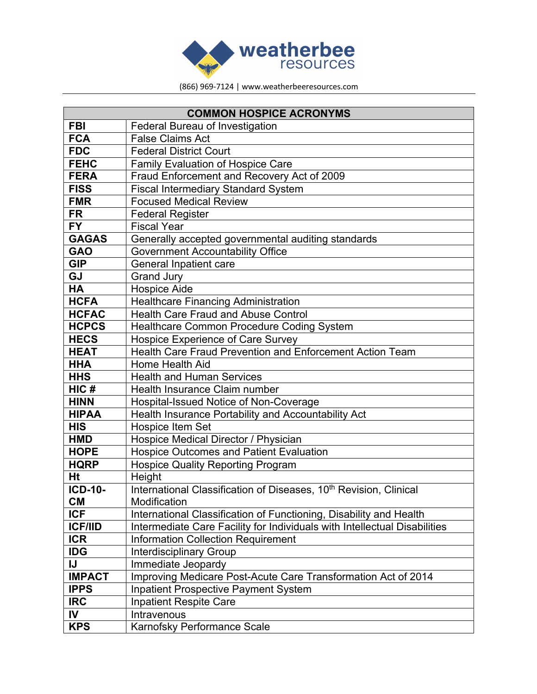

| <b>COMMON HOSPICE ACRONYMS</b> |                                                                               |
|--------------------------------|-------------------------------------------------------------------------------|
| <b>FBI</b>                     | <b>Federal Bureau of Investigation</b>                                        |
| <b>FCA</b>                     | <b>False Claims Act</b>                                                       |
| <b>FDC</b>                     | <b>Federal District Court</b>                                                 |
| <b>FEHC</b>                    | <b>Family Evaluation of Hospice Care</b>                                      |
| <b>FERA</b>                    | Fraud Enforcement and Recovery Act of 2009                                    |
| <b>FISS</b>                    | <b>Fiscal Intermediary Standard System</b>                                    |
| <b>FMR</b>                     | <b>Focused Medical Review</b>                                                 |
| <b>FR</b>                      | <b>Federal Register</b>                                                       |
| <b>FY</b>                      | <b>Fiscal Year</b>                                                            |
| <b>GAGAS</b>                   | Generally accepted governmental auditing standards                            |
| <b>GAO</b>                     | <b>Government Accountability Office</b>                                       |
| <b>GIP</b>                     | <b>General Inpatient care</b>                                                 |
| GJ                             | <b>Grand Jury</b>                                                             |
| <b>HA</b>                      | <b>Hospice Aide</b>                                                           |
| <b>HCFA</b>                    | <b>Healthcare Financing Administration</b>                                    |
| <b>HCFAC</b>                   | <b>Health Care Fraud and Abuse Control</b>                                    |
| <b>HCPCS</b>                   | Healthcare Common Procedure Coding System                                     |
| <b>HECS</b>                    | Hospice Experience of Care Survey                                             |
| <b>HEAT</b>                    | Health Care Fraud Prevention and Enforcement Action Team                      |
| <b>HHA</b>                     | Home Health Aid                                                               |
| <b>HHS</b>                     | <b>Health and Human Services</b>                                              |
| HIC#                           | Health Insurance Claim number                                                 |
| <b>HINN</b>                    | Hospital-Issued Notice of Non-Coverage                                        |
| <b>HIPAA</b>                   | Health Insurance Portability and Accountability Act                           |
| <b>HIS</b>                     | <b>Hospice Item Set</b>                                                       |
| <b>HMD</b>                     | Hospice Medical Director / Physician                                          |
| <b>HOPE</b>                    | <b>Hospice Outcomes and Patient Evaluation</b>                                |
| <b>HQRP</b>                    | <b>Hospice Quality Reporting Program</b>                                      |
| Ht                             | Height                                                                        |
| <b>ICD-10-</b>                 | International Classification of Diseases, 10 <sup>th</sup> Revision, Clinical |
| <b>CM</b>                      | Modification                                                                  |
| <b>ICF</b>                     | International Classification of Functioning, Disability and Health            |
| <b>ICF/IID</b>                 | Intermediate Care Facility for Individuals with Intellectual Disabilities     |
| <b>ICR</b>                     | <b>Information Collection Requirement</b>                                     |
| <b>IDG</b>                     | <b>Interdisciplinary Group</b>                                                |
| IJ                             | Immediate Jeopardy                                                            |
| <b>IMPACT</b>                  | Improving Medicare Post-Acute Care Transformation Act of 2014                 |
| <b>IPPS</b>                    | <b>Inpatient Prospective Payment System</b>                                   |
| <b>IRC</b>                     | <b>Inpatient Respite Care</b>                                                 |
| IV                             | Intravenous                                                                   |
| <b>KPS</b>                     | Karnofsky Performance Scale                                                   |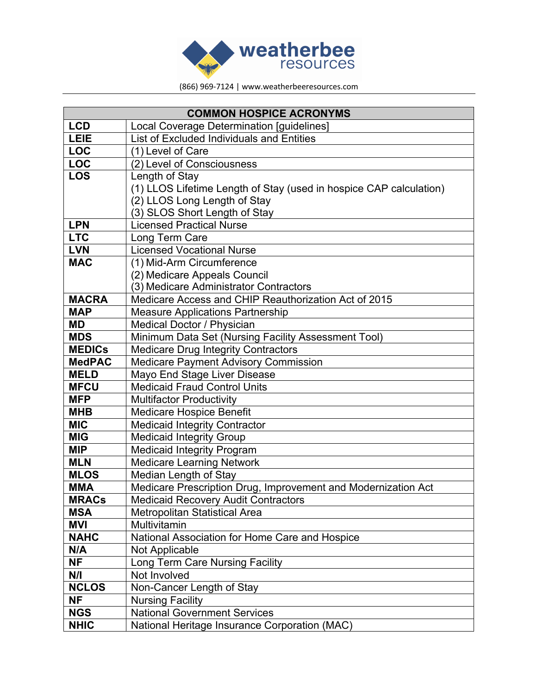

| <b>COMMON HOSPICE ACRONYMS</b> |                                                                    |
|--------------------------------|--------------------------------------------------------------------|
| <b>LCD</b>                     | Local Coverage Determination [guidelines]                          |
| LEIE                           | List of Excluded Individuals and Entities                          |
| <b>LOC</b>                     | (1) Level of Care                                                  |
| <b>LOC</b>                     | (2) Level of Consciousness                                         |
| <b>LOS</b>                     | Length of Stay                                                     |
|                                | (1) LLOS Lifetime Length of Stay (used in hospice CAP calculation) |
|                                | (2) LLOS Long Length of Stay                                       |
|                                | (3) SLOS Short Length of Stay                                      |
| <b>LPN</b>                     | <b>Licensed Practical Nurse</b>                                    |
| <b>LTC</b>                     | Long Term Care                                                     |
| <b>LVN</b>                     | <b>Licensed Vocational Nurse</b>                                   |
| <b>MAC</b>                     | (1) Mid-Arm Circumference                                          |
|                                | (2) Medicare Appeals Council                                       |
|                                | (3) Medicare Administrator Contractors                             |
| <b>MACRA</b>                   | Medicare Access and CHIP Reauthorization Act of 2015               |
| <b>MAP</b>                     | <b>Measure Applications Partnership</b>                            |
| <b>MD</b>                      | Medical Doctor / Physician                                         |
| <b>MDS</b>                     | Minimum Data Set (Nursing Facility Assessment Tool)                |
| <b>MEDICs</b>                  | <b>Medicare Drug Integrity Contractors</b>                         |
| <b>MedPAC</b>                  | <b>Medicare Payment Advisory Commission</b>                        |
| <b>MELD</b>                    | Mayo End Stage Liver Disease                                       |
| <b>MFCU</b>                    | <b>Medicaid Fraud Control Units</b>                                |
| <b>MFP</b>                     | <b>Multifactor Productivity</b>                                    |
| <b>MHB</b>                     | <b>Medicare Hospice Benefit</b>                                    |
| <b>MIC</b>                     | <b>Medicaid Integrity Contractor</b>                               |
| <b>MIG</b>                     | <b>Medicaid Integrity Group</b>                                    |
| <b>MIP</b>                     | <b>Medicaid Integrity Program</b>                                  |
| <b>MLN</b>                     | <b>Medicare Learning Network</b>                                   |
| <b>MLOS</b>                    | Median Length of Stay                                              |
| <b>MMA</b>                     | Medicare Prescription Drug, Improvement and Modernization Act      |
| <b>MRACs</b>                   | <b>Medicaid Recovery Audit Contractors</b>                         |
| <b>MSA</b>                     | <b>Metropolitan Statistical Area</b>                               |
| <b>MVI</b>                     | Multivitamin                                                       |
| <b>NAHC</b>                    | National Association for Home Care and Hospice                     |
| N/A                            | Not Applicable                                                     |
| <b>NF</b>                      | Long Term Care Nursing Facility                                    |
| N/I                            | Not Involved                                                       |
| <b>NCLOS</b>                   | Non-Cancer Length of Stay                                          |
| <b>NF</b>                      | <b>Nursing Facility</b>                                            |
| <b>NGS</b>                     | <b>National Government Services</b>                                |
| <b>NHIC</b>                    | National Heritage Insurance Corporation (MAC)                      |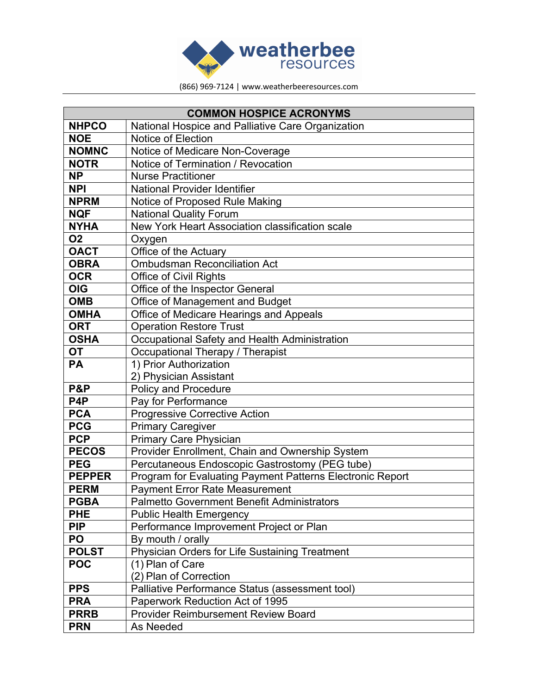

| <b>COMMON HOSPICE ACRONYMS</b> |                                                           |
|--------------------------------|-----------------------------------------------------------|
| <b>NHPCO</b>                   | National Hospice and Palliative Care Organization         |
| <b>NOE</b>                     | Notice of Election                                        |
| <b>NOMNC</b>                   | Notice of Medicare Non-Coverage                           |
| <b>NOTR</b>                    | Notice of Termination / Revocation                        |
| <b>NP</b>                      | <b>Nurse Practitioner</b>                                 |
| <b>NPI</b>                     | <b>National Provider Identifier</b>                       |
| <b>NPRM</b>                    | Notice of Proposed Rule Making                            |
| <b>NQF</b>                     | <b>National Quality Forum</b>                             |
| <b>NYHA</b>                    | New York Heart Association classification scale           |
| <b>O2</b>                      | Oxygen                                                    |
| <b>OACT</b>                    | Office of the Actuary                                     |
| <b>OBRA</b>                    | <b>Ombudsman Reconciliation Act</b>                       |
| <b>OCR</b>                     | <b>Office of Civil Rights</b>                             |
| <b>OIG</b>                     | Office of the Inspector General                           |
| <b>OMB</b>                     | Office of Management and Budget                           |
| <b>OMHA</b>                    | Office of Medicare Hearings and Appeals                   |
| <b>ORT</b>                     | <b>Operation Restore Trust</b>                            |
| <b>OSHA</b>                    | Occupational Safety and Health Administration             |
| <b>OT</b>                      | Occupational Therapy / Therapist                          |
| <b>PA</b>                      | 1) Prior Authorization                                    |
|                                | 2) Physician Assistant                                    |
| P&P                            | Policy and Procedure                                      |
| P <sub>4</sub> P               | Pay for Performance                                       |
| <b>PCA</b>                     | <b>Progressive Corrective Action</b>                      |
| <b>PCG</b>                     | <b>Primary Caregiver</b>                                  |
| <b>PCP</b>                     | Primary Care Physician                                    |
| <b>PECOS</b>                   | Provider Enrollment, Chain and Ownership System           |
| <b>PEG</b>                     | Percutaneous Endoscopic Gastrostomy (PEG tube)            |
| <b>PEPPER</b>                  | Program for Evaluating Payment Patterns Electronic Report |
| <b>PERM</b>                    | <b>Payment Error Rate Measurement</b>                     |
| <b>PGBA</b>                    | Palmetto Government Benefit Administrators                |
| <b>PHE</b>                     | <b>Public Health Emergency</b>                            |
| <b>PIP</b>                     | Performance Improvement Project or Plan                   |
| PO                             | By mouth / orally                                         |
| <b>POLST</b>                   | Physician Orders for Life Sustaining Treatment            |
| <b>POC</b>                     | (1) Plan of Care                                          |
|                                | (2) Plan of Correction                                    |
| <b>PPS</b>                     | Palliative Performance Status (assessment tool)           |
| <b>PRA</b>                     | Paperwork Reduction Act of 1995                           |
| <b>PRRB</b>                    | <b>Provider Reimbursement Review Board</b>                |
| <b>PRN</b>                     | As Needed                                                 |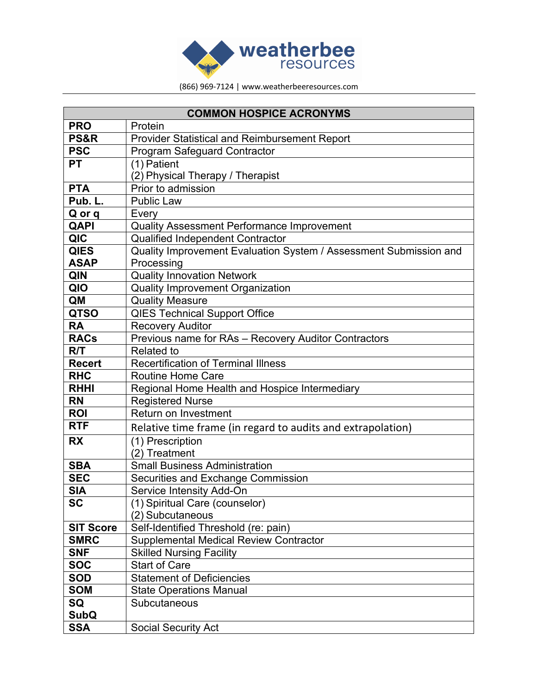

| <b>COMMON HOSPICE ACRONYMS</b> |                                                                   |
|--------------------------------|-------------------------------------------------------------------|
| <b>PRO</b>                     | Protein                                                           |
| PS&R                           | <b>Provider Statistical and Reimbursement Report</b>              |
| <b>PSC</b>                     | <b>Program Safeguard Contractor</b>                               |
| <b>PT</b>                      | (1) Patient                                                       |
|                                | (2) Physical Therapy / Therapist                                  |
| <b>PTA</b>                     | Prior to admission                                                |
| Pub. L.                        | <b>Public Law</b>                                                 |
| Q or q                         | Every                                                             |
| <b>QAPI</b>                    | Quality Assessment Performance Improvement                        |
| QIC                            | <b>Qualified Independent Contractor</b>                           |
| <b>QIES</b>                    | Quality Improvement Evaluation System / Assessment Submission and |
| <b>ASAP</b>                    | Processing                                                        |
| QIN                            | <b>Quality Innovation Network</b>                                 |
| QIO                            | <b>Quality Improvement Organization</b>                           |
| QM                             | <b>Quality Measure</b>                                            |
| <b>QTSO</b>                    | <b>QIES Technical Support Office</b>                              |
| <b>RA</b>                      | <b>Recovery Auditor</b>                                           |
| <b>RACs</b>                    | Previous name for RAs - Recovery Auditor Contractors              |
| R/T                            | <b>Related to</b>                                                 |
| <b>Recert</b>                  | <b>Recertification of Terminal Illness</b>                        |
| <b>RHC</b>                     | <b>Routine Home Care</b>                                          |
| <b>RHHI</b>                    | Regional Home Health and Hospice Intermediary                     |
| <b>RN</b>                      | <b>Registered Nurse</b>                                           |
| <b>ROI</b>                     | Return on Investment                                              |
| <b>RTF</b>                     | Relative time frame (in regard to audits and extrapolation)       |
| <b>RX</b>                      | (1) Prescription                                                  |
|                                | (2) Treatment                                                     |
| <b>SBA</b>                     | <b>Small Business Administration</b>                              |
| <b>SEC</b>                     | Securities and Exchange Commission                                |
| <b>SIA</b>                     | Service Intensity Add-On                                          |
| <b>SC</b>                      | (1) Spiritual Care (counselor)                                    |
|                                | (2) Subcutaneous                                                  |
| <b>SIT Score</b>               | Self-Identified Threshold (re: pain)                              |
| <b>SMRC</b>                    | Supplemental Medical Review Contractor                            |
| <b>SNF</b>                     | <b>Skilled Nursing Facility</b>                                   |
| <b>SOC</b>                     | <b>Start of Care</b>                                              |
| <b>SOD</b>                     | <b>Statement of Deficiencies</b>                                  |
| <b>SOM</b>                     | <b>State Operations Manual</b>                                    |
| SQ                             | <b>Subcutaneous</b>                                               |
| <b>SubQ</b>                    |                                                                   |
| <b>SSA</b>                     | <b>Social Security Act</b>                                        |